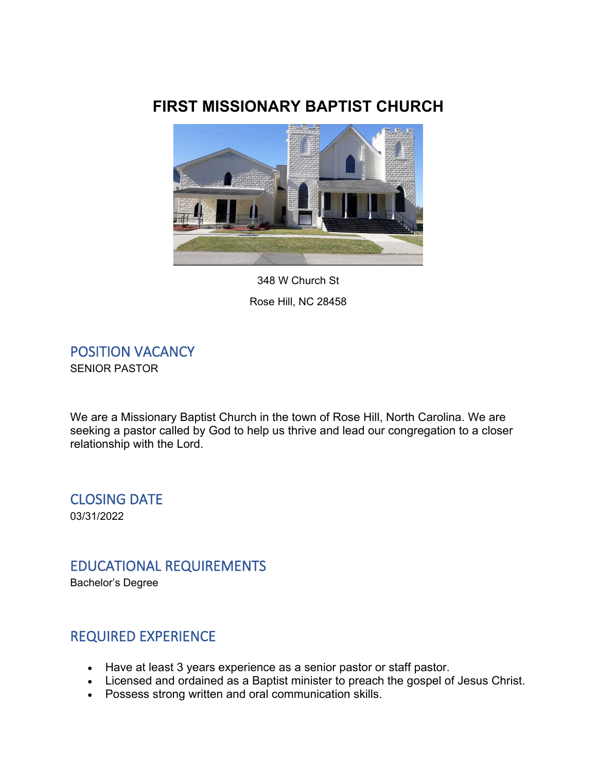# **FIRST MISSIONARY BAPTIST CHURCH**



348 W Church St Rose Hill, NC 28458

POSITION VACANCY SENIOR PASTOR

We are a Missionary Baptist Church in the town of Rose Hill, North Carolina. We are seeking a pastor called by God to help us thrive and lead our congregation to a closer relationship with the Lord.

CLOSING DATE 03/31/2022

### EDUCATIONAL REQUIREMENTS

Bachelor's Degree

### REQUIRED EXPERIENCE

- Have at least 3 years experience as a senior pastor or staff pastor.
- Licensed and ordained as a Baptist minister to preach the gospel of Jesus Christ.
- Possess strong written and oral communication skills.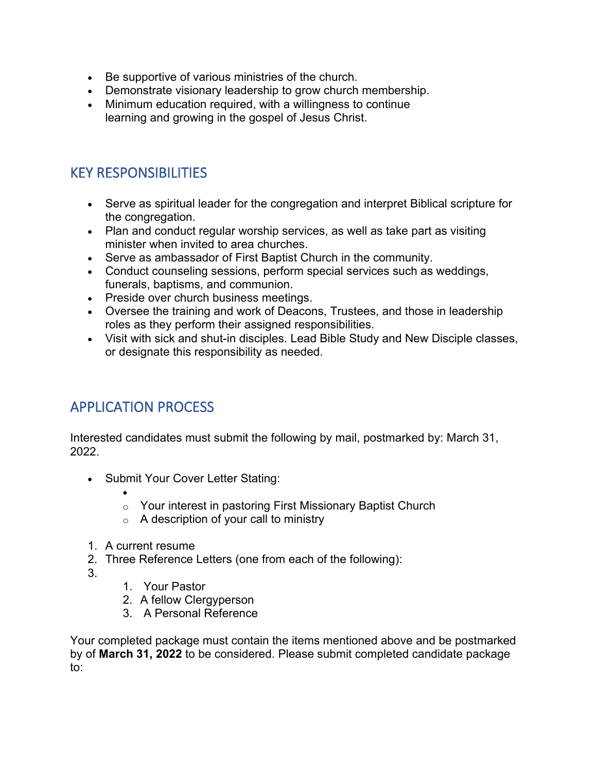- Be supportive of various ministries of the church.
- Demonstrate visionary leadership to grow church membership.
- Minimum education required, with a willingness to continue learning and growing in the gospel of Jesus Christ.

## KEY RESPONSIBILITIES

- Serve as spiritual leader for the congregation and interpret Biblical scripture for the congregation.
- Plan and conduct regular worship services, as well as take part as visiting minister when invited to area churches.
- Serve as ambassador of First Baptist Church in the community.
- Conduct counseling sessions, perform special services such as weddings, funerals, baptisms, and communion.
- Preside over church business meetings.
- Oversee the training and work of Deacons, Trustees, and those in leadership roles as they perform their assigned responsibilities.
- Visit with sick and shut-in disciples. Lead Bible Study and New Disciple classes, or designate this responsibility as needed.

### APPLICATION PROCESS

Interested candidates must submit the following by mail, postmarked by: March 31, 2022.

- Submit Your Cover Letter Stating:
	- o Your interest in pastoring First Missionary Baptist Church
	- $\circ$  A description of your call to ministry
- 1. A current resume
- 2. Three Reference Letters (one from each of the following):
- 3.
- 1. Your Pastor
- 2. A fellow Clergyperson
- 3. A Personal Reference

Your completed package must contain the items mentioned above and be postmarked by of **March 31, 2022** to be considered. Please submit completed candidate package to: